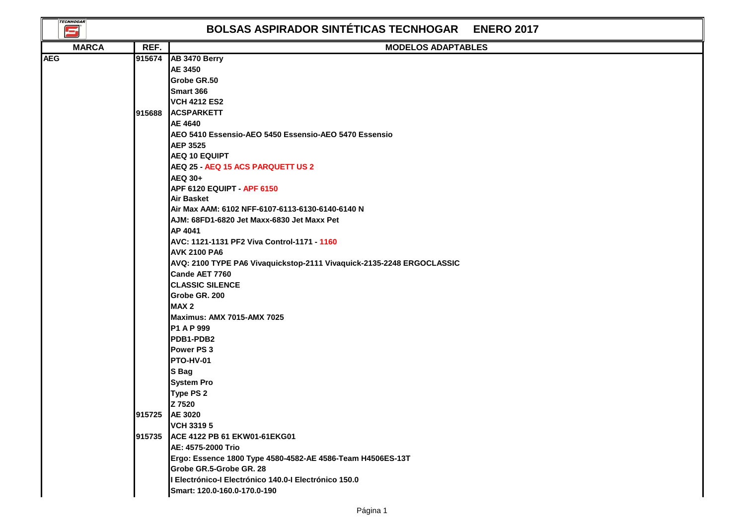| <b>TECNHOGAR</b><br>S |        | <b>BOLSAS ASPIRADOR SINTÉTICAS TECNHOGAR ENERO 2017</b>               |
|-----------------------|--------|-----------------------------------------------------------------------|
| <b>MARCA</b>          | REF.   | <b>MODELOS ADAPTABLES</b>                                             |
| <b>AEG</b>            | 915674 | AB 3470 Berry                                                         |
|                       |        | AE 3450                                                               |
|                       |        | Grobe GR.50                                                           |
|                       |        | Smart 366                                                             |
|                       |        | <b>VCH 4212 ES2</b>                                                   |
|                       | 915688 | <b>ACSPARKETT</b>                                                     |
|                       |        | AE 4640                                                               |
|                       |        | AEO 5410 Essensio-AEO 5450 Essensio-AEO 5470 Essensio                 |
|                       |        | <b>AEP 3525</b>                                                       |
|                       |        | <b>AEQ 10 EQUIPT</b>                                                  |
|                       |        | AEQ 25 - AEQ 15 ACS PARQUETT US 2                                     |
|                       |        | <b>AEQ 30+</b>                                                        |
|                       |        | APF 6120 EQUIPT - APF 6150                                            |
|                       |        | <b>Air Basket</b><br>Air Max AAM: 6102 NFF-6107-6113-6130-6140-6140 N |
|                       |        | AJM: 68FD1-6820 Jet Maxx-6830 Jet Maxx Pet                            |
|                       |        | AP 4041                                                               |
|                       |        | AVC: 1121-1131 PF2 Viva Control-1171 - 1160                           |
|                       |        | <b>AVK 2100 PA6</b>                                                   |
|                       |        | AVQ: 2100 TYPE PA6 Vivaquickstop-2111 Vivaquick-2135-2248 ERGOCLASSIC |
|                       |        | Cande AET 7760                                                        |
|                       |        | <b>CLASSIC SILENCE</b>                                                |
|                       |        | Grobe GR. 200                                                         |
|                       |        | MAX <sub>2</sub>                                                      |
|                       |        | <b>Maximus: AMX 7015-AMX 7025</b>                                     |
|                       |        | P1 A P 999                                                            |
|                       |        | PDB1-PDB2                                                             |
|                       |        | Power PS 3                                                            |
|                       |        | <b>PTO-HV-01</b>                                                      |
|                       |        | S Bag                                                                 |
|                       |        | <b>System Pro</b>                                                     |
|                       |        | Type PS 2                                                             |
|                       |        | Z 7520                                                                |
|                       |        | 915725 AE 3020                                                        |
|                       |        | <b>VCH 33195</b>                                                      |
|                       | 915735 | ACE 4122 PB 61 EKW01-61EKG01                                          |
|                       |        | AE: 4575-2000 Trio                                                    |
|                       |        | Ergo: Essence 1800 Type 4580-4582-AE 4586-Team H4506ES-13T            |
|                       |        | Grobe GR.5-Grobe GR. 28                                               |
|                       |        | I Electrónico-I Electrónico 140.0-I Electrónico 150.0                 |
|                       |        | Smart: 120.0-160.0-170.0-190                                          |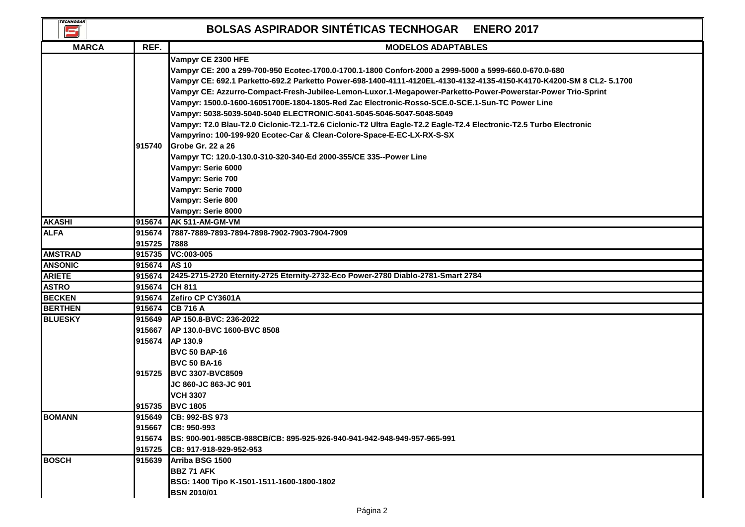| <b>TECNHOGAR</b><br>Œ. |        | <b>BOLSAS ASPIRADOR SINTÉTICAS TECNHOGAR</b><br><b>ENERO 2017</b>                                                                                                                                                                                                                                                                                                                                                                                                                                                                                                                                                                                                                                                                                                                                                                                                                                                                                   |
|------------------------|--------|-----------------------------------------------------------------------------------------------------------------------------------------------------------------------------------------------------------------------------------------------------------------------------------------------------------------------------------------------------------------------------------------------------------------------------------------------------------------------------------------------------------------------------------------------------------------------------------------------------------------------------------------------------------------------------------------------------------------------------------------------------------------------------------------------------------------------------------------------------------------------------------------------------------------------------------------------------|
| <b>MARCA</b>           | REF.   | <b>MODELOS ADAPTABLES</b>                                                                                                                                                                                                                                                                                                                                                                                                                                                                                                                                                                                                                                                                                                                                                                                                                                                                                                                           |
|                        | 915740 | Vampyr CE 2300 HFE<br>Vampyr CE: 200 a 299-700-950 Ecotec-1700.0-1700.1-1800 Confort-2000 a 2999-5000 a 5999-660.0-670.0-680<br>Vampyr CE: 692.1 Parketto-692.2 Parketto Power-698-1400-4111-4120EL-4130-4132-4135-4150-K4170-K4200-SM 8 CL2- 5.1700<br>Vampyr CE: Azzurro-Compact-Fresh-Jubilee-Lemon-Luxor.1-Megapower-Parketto-Power-Powerstar-Power Trio-Sprint<br>Vampyr: 1500.0-1600-16051700E-1804-1805-Red Zac Electronic-Rosso-SCE.0-SCE.1-Sun-TC Power Line<br>Vampyr: 5038-5039-5040-5040 ELECTRONIC-5041-5045-5046-5047-5048-5049<br>Vampyr: T2.0 Blau-T2.0 Ciclonic-T2.1-T2.6 Ciclonic-T2 Ultra Eagle-T2.2 Eagle-T2.4 Electronic-T2.5 Turbo Electronic<br>Vampyrino: 100-199-920 Ecotec-Car & Clean-Colore-Space-E-EC-LX-RX-S-SX<br>Grobe Gr. 22 a 26<br>Vampyr TC: 120.0-130.0-310-320-340-Ed 2000-355/CE 335--Power Line<br>Vampyr: Serie 6000<br>Vampyr: Serie 700<br>Vampyr: Serie 7000<br>Vampyr: Serie 800<br>Vampyr: Serie 8000 |
| <b>AKASHI</b>          | 915674 | AK 511-AM-GM-VM                                                                                                                                                                                                                                                                                                                                                                                                                                                                                                                                                                                                                                                                                                                                                                                                                                                                                                                                     |
| <b>ALFA</b>            | 915674 | 7887-7889-7893-7894-7898-7902-7903-7904-7909                                                                                                                                                                                                                                                                                                                                                                                                                                                                                                                                                                                                                                                                                                                                                                                                                                                                                                        |
|                        | 915725 | 7888                                                                                                                                                                                                                                                                                                                                                                                                                                                                                                                                                                                                                                                                                                                                                                                                                                                                                                                                                |
| <b>AMSTRAD</b>         | 915735 | VC:003-005                                                                                                                                                                                                                                                                                                                                                                                                                                                                                                                                                                                                                                                                                                                                                                                                                                                                                                                                          |
| <b>ANSONIC</b>         | 915674 | <b>AS 10</b>                                                                                                                                                                                                                                                                                                                                                                                                                                                                                                                                                                                                                                                                                                                                                                                                                                                                                                                                        |
| <b>ARIETE</b>          | 915674 | 2425-2715-2720 Eternity-2725 Eternity-2732-Eco Power-2780 Diablo-2781-Smart 2784                                                                                                                                                                                                                                                                                                                                                                                                                                                                                                                                                                                                                                                                                                                                                                                                                                                                    |
| <b>ASTRO</b>           | 915674 | CH 811                                                                                                                                                                                                                                                                                                                                                                                                                                                                                                                                                                                                                                                                                                                                                                                                                                                                                                                                              |
| <b>BECKEN</b>          | 915674 | Zefiro CP CY3601A                                                                                                                                                                                                                                                                                                                                                                                                                                                                                                                                                                                                                                                                                                                                                                                                                                                                                                                                   |
| <b>BERTHEN</b>         | 915674 | <b>CB 716 A</b>                                                                                                                                                                                                                                                                                                                                                                                                                                                                                                                                                                                                                                                                                                                                                                                                                                                                                                                                     |
| <b>BLUESKY</b>         |        | 915649 AP 150.8-BVC: 236-2022<br>915667 <b>AP 130.0-BVC 1600-BVC 8508</b><br>915674 AP 130.9<br><b>BVC 50 BAP-16</b><br><b>BVC 50 BA-16</b><br>915725 BVC 3307-BVC8509<br>JC 860-JC 863-JC 901                                                                                                                                                                                                                                                                                                                                                                                                                                                                                                                                                                                                                                                                                                                                                      |
|                        |        | <b>VCH 3307</b><br>915735 BVC 1805                                                                                                                                                                                                                                                                                                                                                                                                                                                                                                                                                                                                                                                                                                                                                                                                                                                                                                                  |
| <b>BOMANN</b>          |        | 915649 CB: 992-BS 973<br>915667 CB: 950-993<br>915674 BS: 900-901-985CB-988CB/CB: 895-925-926-940-941-942-948-949-957-965-991<br>915725 CB: 917-918-929-952-953                                                                                                                                                                                                                                                                                                                                                                                                                                                                                                                                                                                                                                                                                                                                                                                     |
| <b>BOSCH</b>           | 915639 | Arriba BSG 1500<br><b>BBZ 71 AFK</b><br>BSG: 1400 Tipo K-1501-1511-1600-1800-1802<br><b>BSN 2010/01</b>                                                                                                                                                                                                                                                                                                                                                                                                                                                                                                                                                                                                                                                                                                                                                                                                                                             |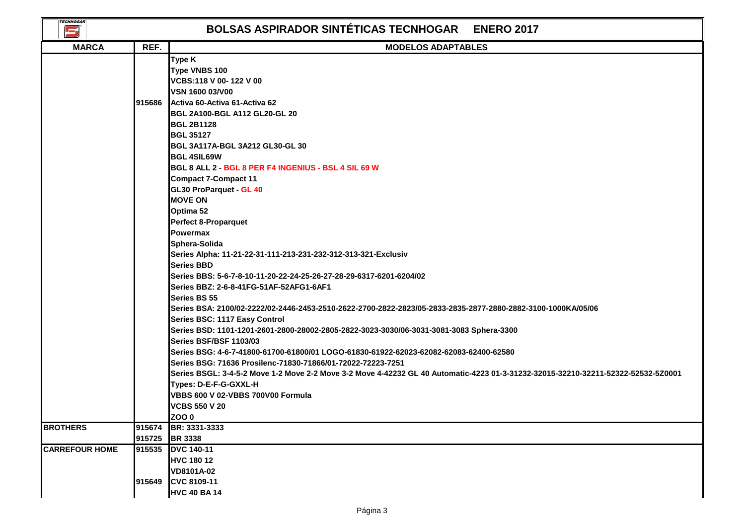| <b>TECNHOGAR</b><br>S |        | <b>BOLSAS ASPIRADOR SINTÉTICAS TECNHOGAR</b><br><b>ENERO 2017</b>                                                                                                                                                                                                                                                                                                                                                                                                                                                                                                                                                                                                                                                                                                                                                                                                                                                                                                                                                                                                  |
|-----------------------|--------|--------------------------------------------------------------------------------------------------------------------------------------------------------------------------------------------------------------------------------------------------------------------------------------------------------------------------------------------------------------------------------------------------------------------------------------------------------------------------------------------------------------------------------------------------------------------------------------------------------------------------------------------------------------------------------------------------------------------------------------------------------------------------------------------------------------------------------------------------------------------------------------------------------------------------------------------------------------------------------------------------------------------------------------------------------------------|
| <b>MARCA</b>          | REF.   | <b>MODELOS ADAPTABLES</b>                                                                                                                                                                                                                                                                                                                                                                                                                                                                                                                                                                                                                                                                                                                                                                                                                                                                                                                                                                                                                                          |
|                       | 915686 | Type K<br>Type VNBS 100<br>VCBS:118 V 00-122 V 00<br>VSN 1600 03/V00<br>Activa 60-Activa 61-Activa 62<br><b>BGL 2A100-BGL A112 GL20-GL 20</b><br><b>BGL 2B1128</b><br><b>BGL 35127</b><br>BGL 3A117A-BGL 3A212 GL30-GL 30<br><b>BGL 4SIL69W</b><br>BGL 8 ALL 2 - BGL 8 PER F4 INGENIUS - BSL 4 SIL 69 W<br><b>Compact 7-Compact 11</b><br>GL30 ProParquet - GL 40<br><b>MOVE ON</b><br>Optima 52<br><b>Perfect 8-Proparquet</b><br><b>Powermax</b><br>Sphera-Solida<br>Series Alpha: 11-21-22-31-111-213-231-232-312-313-321-Exclusiv<br><b>Series BBD</b><br>Series BBS: 5-6-7-8-10-11-20-22-24-25-26-27-28-29-6317-6201-6204/02<br>Series BBZ: 2-6-8-41FG-51AF-52AFG1-6AF1<br>Series BS 55<br>Series BSA: 2100/02-2222/02-2446-2453-2510-2622-2700-2822-2823/05-2833-2835-2877-2880-2882-3100-1000KA/05/06<br>Series BSC: 1117 Easy Control<br>Series BSD: 1101-1201-2601-2800-28002-2805-2822-3023-3030/06-3031-3081-3083 Sphera-3300<br><b>Series BSF/BSF 1103/03</b><br>Series BSG: 4-6-7-41800-61700-61800/01 LOGO-61830-61922-62023-62082-62083-62400-62580 |
|                       |        | Series BSG: 71636 Prosilenc-71830-71866/01-72022-72223-7251<br>Series BSGL: 3-4-5-2 Move 1-2 Move 2-2 Move 3-2 Move 4-42232 GL 40 Automatic-4223 01-3-31232-32015-32210-32211-52322-52532-5Z0001<br>Types: D-E-F-G-GXXL-H<br>VBBS 600 V 02-VBBS 700V00 Formula<br><b>VCBS 550 V 20</b><br>IZOO 0                                                                                                                                                                                                                                                                                                                                                                                                                                                                                                                                                                                                                                                                                                                                                                   |
| <b>BROTHERS</b>       | 915674 | BR: 3331-3333                                                                                                                                                                                                                                                                                                                                                                                                                                                                                                                                                                                                                                                                                                                                                                                                                                                                                                                                                                                                                                                      |
|                       | 915725 | <b>BR 3338</b>                                                                                                                                                                                                                                                                                                                                                                                                                                                                                                                                                                                                                                                                                                                                                                                                                                                                                                                                                                                                                                                     |
| <b>CARREFOUR HOME</b> | 915535 | <b>DVC 140-11</b><br><b>HVC 180 12</b>                                                                                                                                                                                                                                                                                                                                                                                                                                                                                                                                                                                                                                                                                                                                                                                                                                                                                                                                                                                                                             |
|                       | 915649 | VD8101A-02<br>CVC 8109-11<br><b>HVC 40 BA14</b>                                                                                                                                                                                                                                                                                                                                                                                                                                                                                                                                                                                                                                                                                                                                                                                                                                                                                                                                                                                                                    |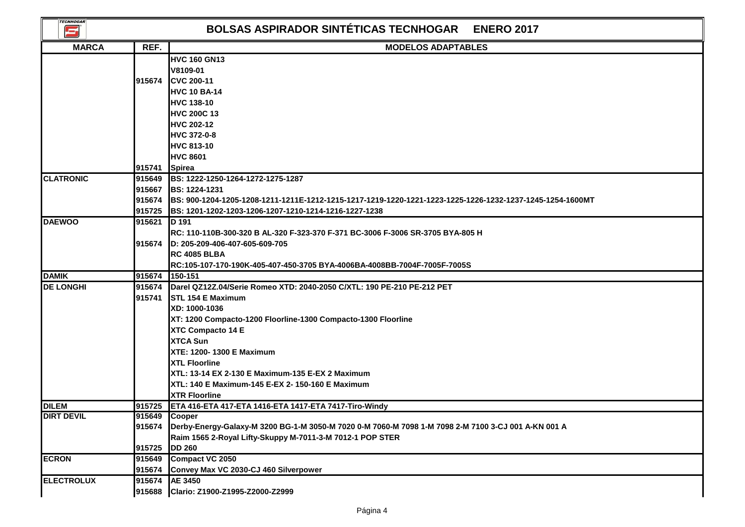| <b>TECNHOGAR</b><br>E |                                   | <b>BOLSAS ASPIRADOR SINTÉTICAS TECNHOGAR ENERO 2017</b>                                                                                                                                                                                                                                                                                                                                                          |
|-----------------------|-----------------------------------|------------------------------------------------------------------------------------------------------------------------------------------------------------------------------------------------------------------------------------------------------------------------------------------------------------------------------------------------------------------------------------------------------------------|
| <b>MARCA</b>          | REF.                              | <b>MODELOS ADAPTABLES</b>                                                                                                                                                                                                                                                                                                                                                                                        |
|                       | 915674<br>915741                  | <b>HVC 160 GN13</b><br>V8109-01<br><b>CVC 200-11</b><br><b>HVC 10 BA-14</b><br>HVC 138-10<br><b>HVC 200C 13</b><br><b>HVC 202-12</b><br>HVC 372-0-8<br>HVC 813-10<br><b>HVC 8601</b><br>Spirea                                                                                                                                                                                                                   |
| <b>CLATRONIC</b>      | 915649                            | <b>IBS: 1222-1250-1264-1272-1275-1287</b>                                                                                                                                                                                                                                                                                                                                                                        |
|                       | 915667<br>915674<br>915725        | <b>BS: 1224-1231</b><br>IBS: 900-1204-1205-1208-1211-1211E-1212-1215-1217-1219-1220-1221-1223-1225-1226-1232-1237-1245-1254-1600MT<br>BS: 1201-1202-1203-1206-1207-1210-1214-1216-1227-1238                                                                                                                                                                                                                      |
| <b>DAEWOO</b>         | 915621                            | <b>ID 191</b>                                                                                                                                                                                                                                                                                                                                                                                                    |
|                       | 915674                            | RC: 110-110B-300-320 B AL-320 F-323-370 F-371 BC-3006 F-3006 SR-3705 BYA-805 H<br>D: 205-209-406-407-605-609-705<br><b>RC 4085 BLBA</b><br>RC:105-107-170-190K-405-407-450-3705 BYA-4006BA-4008BB-7004F-7005F-7005S                                                                                                                                                                                              |
| <b>DAMIK</b>          | 915674                            | 150-151                                                                                                                                                                                                                                                                                                                                                                                                          |
| <b>DE LONGHI</b>      | 915674<br>915741                  | Darel QZ12Z.04/Serie Romeo XTD: 2040-2050 C/XTL: 190 PE-210 PE-212 PET<br><b>STL 154 E Maximum</b><br>XD: 1000-1036<br>XT: 1200 Compacto-1200 Floorline-1300 Compacto-1300 Floorline<br>XTC Compacto 14 E<br><b>XTCA Sun</b><br>XTE: 1200-1300 E Maximum<br><b>XTL Floorline</b><br>XTL: 13-14 EX 2-130 E Maximum-135 E-EX 2 Maximum<br>XTL: 140 E Maximum-145 E-EX 2- 150-160 E Maximum<br><b>XTR Floorline</b> |
| <b>DILEM</b>          |                                   | 915725   ETA 416-ETA 417-ETA 1416-ETA 1417-ETA 7417-Tiro-Windy                                                                                                                                                                                                                                                                                                                                                   |
| <b>DIRT DEVIL</b>     | 915649 Cooper<br>915674<br>915725 | Derby-Energy-Galaxy-M 3200 BG-1-M 3050-M 7020 0-M 7060-M 7098 1-M 7098 2-M 7100 3-CJ 001 A-KN 001 A<br>Raim 1565 2-Royal Lifty-Skuppy M-7011-3-M 7012-1 POP STER<br><b>DD 260</b>                                                                                                                                                                                                                                |
| <b>ECRON</b>          | 915649                            | Compact VC 2050                                                                                                                                                                                                                                                                                                                                                                                                  |
| <b>ELECTROLUX</b>     | 915674<br>915674<br>915688        | Convey Max VC 2030-CJ 460 Silverpower<br><b>AE 3450</b><br>Clario: Z1900-Z1995-Z2000-Z2999                                                                                                                                                                                                                                                                                                                       |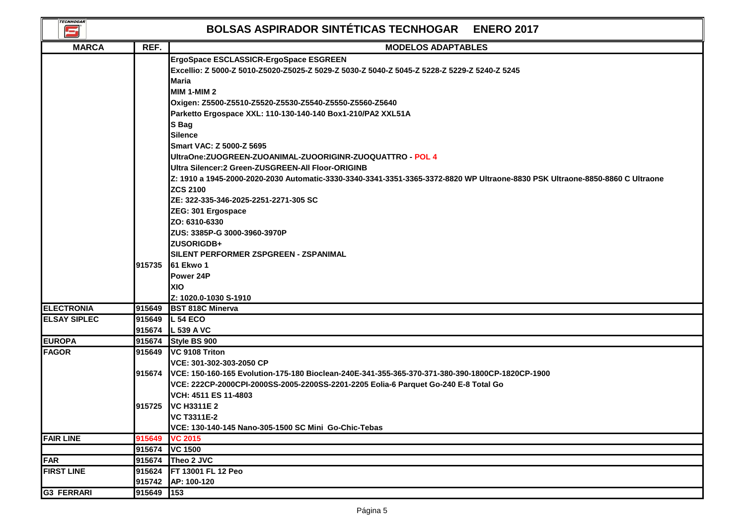| <b>TECNHOGAR</b><br>S, |                  | <b>BOLSAS ASPIRADOR SINTÉTICAS TECNHOGAR ENERO 2017</b>                                                                                                                                                                                                                                                                                                                                                                                                                                                                                                                                                                                                                                                                                                                                                                                                  |
|------------------------|------------------|----------------------------------------------------------------------------------------------------------------------------------------------------------------------------------------------------------------------------------------------------------------------------------------------------------------------------------------------------------------------------------------------------------------------------------------------------------------------------------------------------------------------------------------------------------------------------------------------------------------------------------------------------------------------------------------------------------------------------------------------------------------------------------------------------------------------------------------------------------|
| <b>MARCA</b>           | REF.             | <b>MODELOS ADAPTABLES</b>                                                                                                                                                                                                                                                                                                                                                                                                                                                                                                                                                                                                                                                                                                                                                                                                                                |
|                        |                  | ErgoSpace ESCLASSICR-ErgoSpace ESGREEN<br>Excellio: Z 5000-Z 5010-Z5020-Z5025-Z 5029-Z 5030-Z 5040-Z 5045-Z 5228-Z 5229-Z 5240-Z 5245<br><b>Maria</b><br><b>MIM 1-MIM 2</b><br>Oxigen: Z5500-Z5510-Z5520-Z5530-Z5540-Z5550-Z5560-Z5640<br>Parketto Ergospace XXL: 110-130-140-140 Box1-210/PA2 XXL51A<br>S Bag<br><b>Silence</b><br>Smart VAC: Z 5000-Z 5695<br>UltraOne:ZUOGREEN-ZUOANIMAL-ZUOORIGINR-ZUOQUATTRO - POL 4<br>Ultra Silencer:2 Green-ZUSGREEN-All Floor-ORIGINB<br>Z: 1910 a 1945-2000-2020-2030 Automatic-3330-3340-3341-3351-3365-3372-8820 WP Ultraone-8830 PSK Ultraone-8850-8860 C Ultraone<br><b>ZCS 2100</b><br>ZE: 322-335-346-2025-2251-2271-305 SC<br>ZEG: 301 Ergospace<br>ZO: 6310-6330<br>ZUS: 3385P-G 3000-3960-3970P<br><b>ZUSORIGDB+</b><br>SILENT PERFORMER ZSPGREEN - ZSPANIMAL<br>915735 61 Ekwo 1<br>Power 24P<br>XIO |
|                        |                  | Z: 1020.0-1030 S-1910                                                                                                                                                                                                                                                                                                                                                                                                                                                                                                                                                                                                                                                                                                                                                                                                                                    |
| <b>ELECTRONIA</b>      | 915649           | <b>BST 818C Minerva</b>                                                                                                                                                                                                                                                                                                                                                                                                                                                                                                                                                                                                                                                                                                                                                                                                                                  |
| <b>ELSAY SIPLEC</b>    |                  | 915649 L 54 ECO                                                                                                                                                                                                                                                                                                                                                                                                                                                                                                                                                                                                                                                                                                                                                                                                                                          |
|                        |                  | 915674 L 539 A VC                                                                                                                                                                                                                                                                                                                                                                                                                                                                                                                                                                                                                                                                                                                                                                                                                                        |
| <b>EUROPA</b>          | 915674           | Style BS 900                                                                                                                                                                                                                                                                                                                                                                                                                                                                                                                                                                                                                                                                                                                                                                                                                                             |
| <b>FAGOR</b>           | 915674           | 915649 VC 9108 Triton<br>VCE: 301-302-303-2050 CP<br>VCE: 150-160-165 Evolution-175-180 Bioclean-240E-341-355-365-370-371-380-390-1800CP-1820CP-1900<br>VCE: 222CP-2000CPI-2000SS-2005-2200SS-2201-2205 Eolia-6 Parquet Go-240 E-8 Total Go<br>VCH: 4511 ES 11-4803<br>915725 VC H3311E 2<br><b>VC T3311E-2</b>                                                                                                                                                                                                                                                                                                                                                                                                                                                                                                                                          |
|                        |                  | VCE: 130-140-145 Nano-305-1500 SC Mini Go-Chic-Tebas                                                                                                                                                                                                                                                                                                                                                                                                                                                                                                                                                                                                                                                                                                                                                                                                     |
| <b>FAIR LINE</b>       | 915649           | <b>VC 2015</b>                                                                                                                                                                                                                                                                                                                                                                                                                                                                                                                                                                                                                                                                                                                                                                                                                                           |
|                        | 915674           | <b>VC 1500</b>                                                                                                                                                                                                                                                                                                                                                                                                                                                                                                                                                                                                                                                                                                                                                                                                                                           |
| <b>FAR</b>             | 915674           | Theo 2 JVC                                                                                                                                                                                                                                                                                                                                                                                                                                                                                                                                                                                                                                                                                                                                                                                                                                               |
| <b>FIRST LINE</b>      | 915624<br>915742 | FT 13001 FL 12 Peo<br>AP: 100-120                                                                                                                                                                                                                                                                                                                                                                                                                                                                                                                                                                                                                                                                                                                                                                                                                        |
| <b>G3 FERRARI</b>      | 915649           | 153                                                                                                                                                                                                                                                                                                                                                                                                                                                                                                                                                                                                                                                                                                                                                                                                                                                      |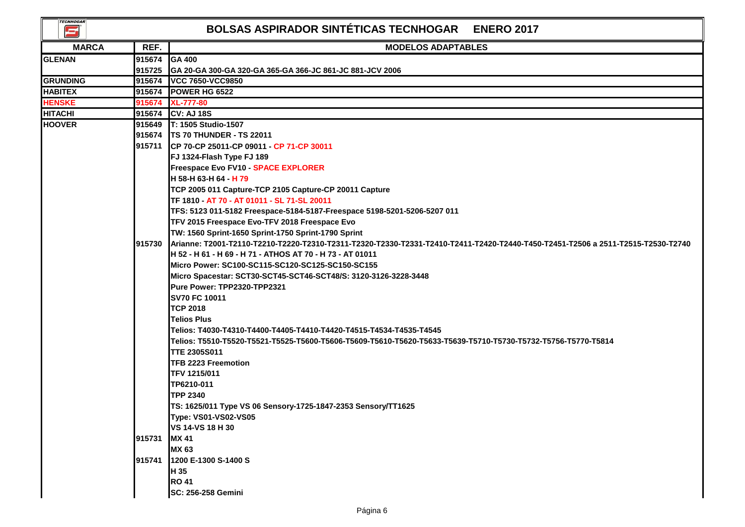| <b>TECNHOGAR</b><br>5 |               | <b>BOLSAS ASPIRADOR SINTÉTICAS TECNHOGAR ENERO 2017</b>                                                                          |
|-----------------------|---------------|----------------------------------------------------------------------------------------------------------------------------------|
| <b>MARCA</b>          | REF.          | <b>MODELOS ADAPTABLES</b>                                                                                                        |
| <b>GLENAN</b>         | 915674 GA 400 |                                                                                                                                  |
|                       | 915725        | IGA 20-GA 300-GA 320-GA 365-GA 366-JC 861-JC 881-JCV 2006                                                                        |
| GRUNDING              | 915674        | VCC 7650-VCC9850                                                                                                                 |
| <b>HABITEX</b>        | 915674        | POWER HG 6522                                                                                                                    |
| <b>HENSKE</b>         | 915674        | <b>XL-777-80</b>                                                                                                                 |
| HITACHI               | 915674        | CV: AJ 18S                                                                                                                       |
| <b>HOOVER</b>         |               | 915649 T: 1505 Studio-1507                                                                                                       |
|                       |               | 915674   TS 70 THUNDER - TS 22011                                                                                                |
|                       |               | 915711 CP 70-CP 25011-CP 09011 - CP 71-CP 30011                                                                                  |
|                       |               | FJ 1324-Flash Type FJ 189                                                                                                        |
|                       |               | Freespace Evo FV10 - SPACE EXPLORER                                                                                              |
|                       |               | H 58-H 63-H 64 H 79                                                                                                              |
|                       |               | TCP 2005 011 Capture-TCP 2105 Capture-CP 20011 Capture                                                                           |
|                       |               | TF 1810 - AT 70 - AT 01011 - SL 71-SL 20011                                                                                      |
|                       |               | TFS: 5123 011-5182 Freespace-5184-5187-Freespace 5198-5201-5206-5207 011                                                         |
|                       |               | TFV 2015 Freespace Evo-TFV 2018 Freespace Evo                                                                                    |
|                       |               | TW: 1560 Sprint-1650 Sprint-1750 Sprint-1790 Sprint                                                                              |
|                       | 915730        | Arianne: T2001-T2110-T2210-T2220-T2310-T2311-T2320-T2330-T2331-T2410-T2411-T2420-T2440-T450-T2451-T2506 a 2511-T2515-T2530-T2740 |
|                       |               | H 52 - H 61 - H 69 - H 71 - ATHOS AT 70 - H 73 - AT 01011                                                                        |
|                       |               | Micro Power: SC100-SC115-SC120-SC125-SC150-SC155                                                                                 |
|                       |               | Micro Spacestar: SCT30-SCT45-SCT46-SCT48/S: 3120-3126-3228-3448                                                                  |
|                       |               | Pure Power: TPP2320-TPP2321                                                                                                      |
|                       |               | <b>SV70 FC 10011</b>                                                                                                             |
|                       |               | <b>TCP 2018</b>                                                                                                                  |
|                       |               | <b>Telios Plus</b>                                                                                                               |
|                       |               | Telios: T4030-T4310-T4400-T4405-T4410-T4420-T4515-T4534-T4535-T4545                                                              |
|                       |               | Telios: T5510-T5520-T5521-T5525-T5600-T5606-T5609-T5610-T5620-T5633-T5639-T5710-T5730-T5732-T5756-T5770-T5814                    |
|                       |               | <b>TTE 2305S011</b>                                                                                                              |
|                       |               | <b>TFB 2223 Freemotion</b>                                                                                                       |
|                       |               | <b>TFV 1215/011</b>                                                                                                              |
|                       |               | TP6210-011                                                                                                                       |
|                       |               | <b>TPP 2340</b>                                                                                                                  |
|                       |               | TS: 1625/011 Type VS 06 Sensory-1725-1847-2353 Sensory/TT1625                                                                    |
|                       |               | Type: VS01-VS02-VS05                                                                                                             |
|                       |               | VS 14-VS 18 H 30                                                                                                                 |
|                       | 915731        | <b>MX 41</b>                                                                                                                     |
|                       |               | <b>MX 63</b>                                                                                                                     |
|                       | 915741        | 1200 E-1300 S-1400 S                                                                                                             |
|                       |               | H 35                                                                                                                             |
|                       |               | <b>RO 41</b>                                                                                                                     |
|                       |               | SC: 256-258 Gemini                                                                                                               |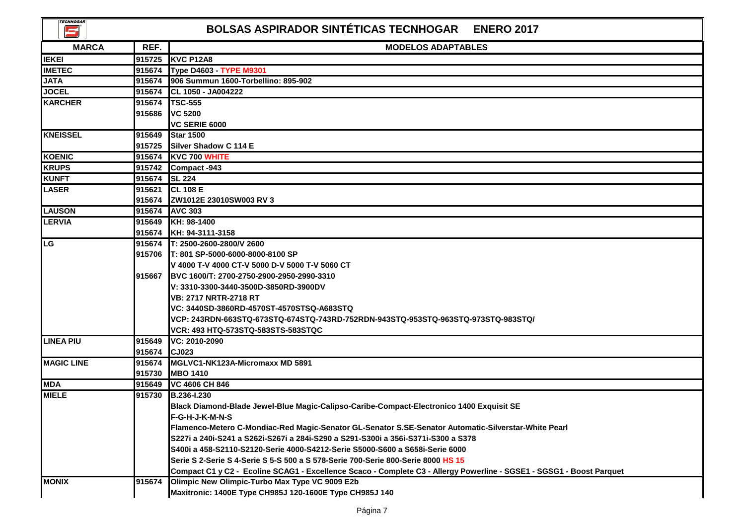| <b>TECNHOGAR</b><br>کا | <b>BOLSAS ASPIRADOR SINTÉTICAS TECNHOGAR ENERO 2017</b> |                                                                                                                      |
|------------------------|---------------------------------------------------------|----------------------------------------------------------------------------------------------------------------------|
| <b>MARCA</b>           | REF.                                                    | <b>MODELOS ADAPTABLES</b>                                                                                            |
| <b>IEKEI</b>           | 915725                                                  | <b>KVC P12A8</b>                                                                                                     |
| <b>IMETEC</b>          | 915674                                                  | Type D4603 - TYPE M9301                                                                                              |
| <b>JATA</b>            | 915674                                                  | 906 Summun 1600-Torbellino: 895-902                                                                                  |
| <b>JOCEL</b>           | 915674                                                  | CL 1050 - JA004222                                                                                                   |
| <b>KARCHER</b>         | 915674                                                  | <b>TSC-555</b>                                                                                                       |
|                        | 915686                                                  | <b>VC 5200</b>                                                                                                       |
|                        |                                                         | VC SERIE 6000                                                                                                        |
| <b>KNEISSEL</b>        | 915649                                                  | <b>Star 1500</b>                                                                                                     |
|                        | 915725                                                  | Silver Shadow C 114 E                                                                                                |
| <b>KOENIC</b>          | 915674                                                  | KVC 700 WHITE                                                                                                        |
| <b>KRUPS</b>           | 915742                                                  | Compact -943                                                                                                         |
| <b>KUNFT</b>           | 915674                                                  | <b>SL 224</b>                                                                                                        |
| <b>LASER</b>           | 915621                                                  | <b>CL 108 E</b>                                                                                                      |
|                        | 915674                                                  | ZW1012E 23010SW003 RV 3                                                                                              |
| <b>LAUSON</b>          | 915674                                                  | <b>AVC 303</b>                                                                                                       |
| <b>LERVIA</b>          | 915649                                                  | KH: 98-1400                                                                                                          |
|                        | 915674                                                  | KH: 94-3111-3158                                                                                                     |
| LG                     |                                                         | 915674 T: 2500-2600-2800/V 2600                                                                                      |
|                        |                                                         | 915706 T: 801 SP-5000-6000-8000-8100 SP                                                                              |
|                        |                                                         | V 4000 T-V 4000 CT-V 5000 D-V 5000 T-V 5060 CT                                                                       |
|                        | 915667                                                  | BVC 1600/T: 2700-2750-2900-2950-2990-3310                                                                            |
|                        |                                                         | V: 3310-3300-3440-3500D-3850RD-3900DV                                                                                |
|                        |                                                         | <b>VB: 2717 NRTR-2718 RT</b>                                                                                         |
|                        |                                                         | VC: 3440SD-3860RD-4570ST-4570STSQ-A683STQ                                                                            |
|                        |                                                         | VCP: 243RDN-663STQ-673STQ-674STQ-743RD-752RDN-943STQ-953STQ-963STQ-973STQ-983STQ/                                    |
|                        |                                                         | VCR: 493 HTQ-573STQ-583STS-583STQC                                                                                   |
| <b>LINEA PIU</b>       | 915649                                                  | VC: 2010-2090                                                                                                        |
|                        | 915674                                                  | CJ023                                                                                                                |
| <b>MAGIC LINE</b>      | 915674                                                  | IMGLVC1-NK123A-Micromaxx MD 5891                                                                                     |
|                        | 915730                                                  | <b>MBO 1410</b>                                                                                                      |
| <b>MDA</b>             | 915649                                                  | VC 4606 CH 846                                                                                                       |
| <b>MIELE</b>           | 915730                                                  | B.236-I.230                                                                                                          |
|                        |                                                         | Black Diamond-Blade Jewel-Blue Magic-Calipso-Caribe-Compact-Electronico 1400 Exquisit SE                             |
|                        |                                                         | F-G-H-J-K-M-N-S                                                                                                      |
|                        |                                                         | Flamenco-Metero C-Mondiac-Red Magic-Senator GL-Senator S.SE-Senator Automatic-Silverstar-White Pearl                 |
|                        |                                                         | S227i a 240i-S241 a S262i-S267i a 284i-S290 a S291-S300i a 356i-S371i-S300 a S378                                    |
|                        |                                                         | S400i a 458-S2110-S2120-Serie 4000-S4212-Serie S5000-S600 a S658i-Serie 6000                                         |
|                        |                                                         | Serie S 2-Serie S 4-Serie S 5-S 500 a S 578-Serie 700-Serie 800-Serie 8000 HS 15                                     |
|                        |                                                         | Compact C1 y C2 - Ecoline SCAG1 - Excellence Scaco - Complete C3 - Allergy Powerline - SGSE1 - SGSG1 - Boost Parquet |
| <b>MONIX</b>           | 915674                                                  | Olimpic New Olimpic-Turbo Max Type VC 9009 E2b                                                                       |
|                        |                                                         | Maxitronic: 1400E Type CH985J 120-1600E Type CH985J 140                                                              |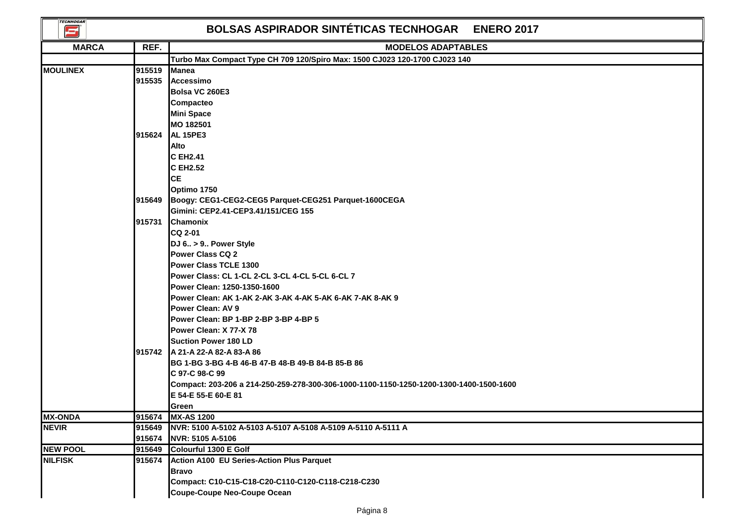| <b>TECNHOGAR</b><br>S |        | <b>BOLSAS ASPIRADOR SINTÉTICAS TECNHOGAR</b><br><b>ENERO 2017</b>                       |
|-----------------------|--------|-----------------------------------------------------------------------------------------|
| <b>MARCA</b>          | REF.   | <b>MODELOS ADAPTABLES</b>                                                               |
|                       |        | Turbo Max Compact Type CH 709 120/Spiro Max: 1500 CJ023 120-1700 CJ023 140              |
| <b>MOULINEX</b>       | 915519 | <b>Manea</b>                                                                            |
|                       | 915535 | <b>Accessimo</b>                                                                        |
|                       |        | Bolsa VC 260E3                                                                          |
|                       |        | Compacteo                                                                               |
|                       |        | <b>Mini Space</b>                                                                       |
|                       |        | MO 182501                                                                               |
|                       | 915624 | <b>AL 15PE3</b>                                                                         |
|                       |        | <b>Alto</b>                                                                             |
|                       |        | C EH2.41                                                                                |
|                       |        | <b>C EH2.52</b>                                                                         |
|                       |        | <b>CE</b>                                                                               |
|                       |        | Optimo 1750                                                                             |
|                       | 915649 | Boogy: CEG1-CEG2-CEG5 Parquet-CEG251 Parquet-1600CEGA                                   |
|                       |        | Gimini: CEP2.41-CEP3.41/151/CEG 155                                                     |
|                       | 915731 | <b>Chamonix</b>                                                                         |
|                       |        | CQ 2-01                                                                                 |
|                       |        | DJ 6 > 9 Power Style                                                                    |
|                       |        | Power Class CQ 2                                                                        |
|                       |        | Power Class TCLE 1300                                                                   |
|                       |        | Power Class: CL 1-CL 2-CL 3-CL 4-CL 5-CL 6-CL 7                                         |
|                       |        | Power Clean: 1250-1350-1600                                                             |
|                       |        | Power Clean: AK 1-AK 2-AK 3-AK 4-AK 5-AK 6-AK 7-AK 8-AK 9                               |
|                       |        | <b>Power Clean: AV 9</b>                                                                |
|                       |        | Power Clean: BP 1-BP 2-BP 3-BP 4-BP 5                                                   |
|                       |        | Power Clean: X 77-X 78                                                                  |
|                       |        | <b>Suction Power 180 LD</b>                                                             |
|                       |        | 915742 A 21-A 22-A 82-A 83-A 86                                                         |
|                       |        | BG 1-BG 3-BG 4-B 46-B 47-B 48-B 49-B 84-B 85-B 86                                       |
|                       |        | C 97-C 98-C 99                                                                          |
|                       |        | Compact: 203-206 a 214-250-259-278-300-306-1000-1100-1150-1250-1200-1300-1400-1500-1600 |
|                       |        | E 54-E 55-E 60-E 81                                                                     |
|                       |        | Green                                                                                   |
| <b>MX-ONDA</b>        |        | 915674 MX-AS 1200                                                                       |
| <b>NEVIR</b>          | 915649 | NVR: 5100 A-5102 A-5103 A-5107 A-5108 A-5109 A-5110 A-5111 A                            |
|                       | 915674 | NVR: 5105 A-5106                                                                        |
| <b>NEW POOL</b>       | 915649 | Colourful 1300 E Golf                                                                   |
| <b>NILFISK</b>        | 915674 | <b>Action A100 EU Series-Action Plus Parquet</b>                                        |
|                       |        | <b>Bravo</b>                                                                            |
|                       |        | Compact: C10-C15-C18-C20-C110-C120-C118-C218-C230                                       |
|                       |        | <b>Coupe-Coupe Neo-Coupe Ocean</b>                                                      |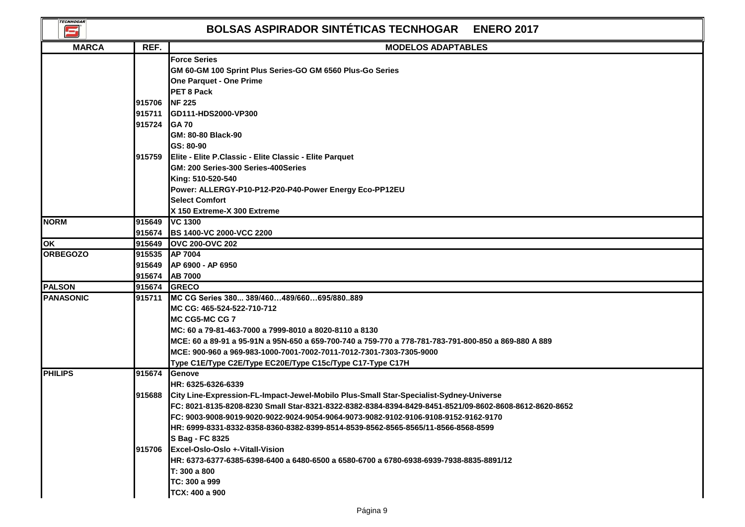| <b>TECNHOGAR</b><br>$\mathbf{E}$ |                  | <b>BOLSAS ASPIRADOR SINTÉTICAS TECNHOGAR ENERO 2017</b>                                                                                                                                                                                                                                                                                                                                          |
|----------------------------------|------------------|--------------------------------------------------------------------------------------------------------------------------------------------------------------------------------------------------------------------------------------------------------------------------------------------------------------------------------------------------------------------------------------------------|
| <b>MARCA</b>                     | REF.             | <b>MODELOS ADAPTABLES</b>                                                                                                                                                                                                                                                                                                                                                                        |
|                                  | 915706           | <b>Force Series</b><br>GM 60-GM 100 Sprint Plus Series-GO GM 6560 Plus-Go Series<br><b>One Parquet - One Prime</b><br>PET 8 Pack<br><b>NF 225</b>                                                                                                                                                                                                                                                |
|                                  | 915711           | GD111-HDS2000-VP300                                                                                                                                                                                                                                                                                                                                                                              |
|                                  | 915724 GA 70     | GM: 80-80 Black-90<br>GS: 80-90                                                                                                                                                                                                                                                                                                                                                                  |
|                                  |                  | 915759 Elite - Elite P.Classic - Elite Classic - Elite Parquet<br>GM: 200 Series-300 Series-400Series<br>King: 510-520-540<br>Power: ALLERGY-P10-P12-P20-P40-Power Energy Eco-PP12EU<br><b>Select Comfort</b><br>X 150 Extreme-X 300 Extreme                                                                                                                                                     |
| <b>NORM</b>                      | 915649<br>915674 | <b>VC 1300</b><br><b>BS 1400-VC 2000-VCC 2200</b>                                                                                                                                                                                                                                                                                                                                                |
| lok                              | 915649           | <b>OVC 200-OVC 202</b>                                                                                                                                                                                                                                                                                                                                                                           |
| <b>ORBEGOZO</b>                  |                  | 915535 AP 7004                                                                                                                                                                                                                                                                                                                                                                                   |
|                                  | 915649<br>915674 | AP 6900 - AP 6950<br><b>AB 7000</b>                                                                                                                                                                                                                                                                                                                                                              |
| <b>PALSON</b>                    | 915674           | <b>GRECO</b>                                                                                                                                                                                                                                                                                                                                                                                     |
| <b>PANASONIC</b>                 | 915711           | MC CG Series 380 389/460489/660695/880889<br>MC CG: 465-524-522-710-712<br>MC CG5-MC CG 7<br>MC: 60 a 79-81-463-7000 a 7999-8010 a 8020-8110 a 8130<br>MCE: 60 a 89-91 a 95-91N a 95N-650 a 659-700-740 a 759-770 a 778-781-783-791-800-850 a 869-880 A 889<br>MCE: 900-960 a 969-983-1000-7001-7002-7011-7012-7301-7303-7305-9000<br>Type C1E/Type C2E/Type EC20E/Type C15c/Type C17-Type C17H  |
| <b>PHILIPS</b>                   | 915674           | <b>Genove</b><br>HR: 6325-6326-6339                                                                                                                                                                                                                                                                                                                                                              |
|                                  | 915688           | City Line-Expression-FL-Impact-Jewel-Mobilo Plus-Small Star-Specialist-Sydney-Universe<br>FC: 8021-8135-8208-8230 Small Star-8321-8322-8382-8384-8394-8429-8451-8521/09-8602-8608-8612-8620-8652<br>FC: 9003-9008-9019-9020-9022-9024-9054-9064-9073-9082-9102-9106-9108-9152-9162-9170<br>lHR: 6999-8331-8332-8358-8360-8382-8399-8514-8539-8562-8565-8565/11-8566-8568-8599<br>S Bag - FC 8325 |
|                                  | 1915706          | <b>IExcel-Oslo-Oslo +-Vitall-Vision</b><br>lHR: 6373-6377-6385-6398-6400 a 6480-6500 a 6580-6700 a 6780-6938-6939-7938-8835-8891/12<br>T: 300 a 800<br>TC: 300 a 999<br>TCX: 400 a 900                                                                                                                                                                                                           |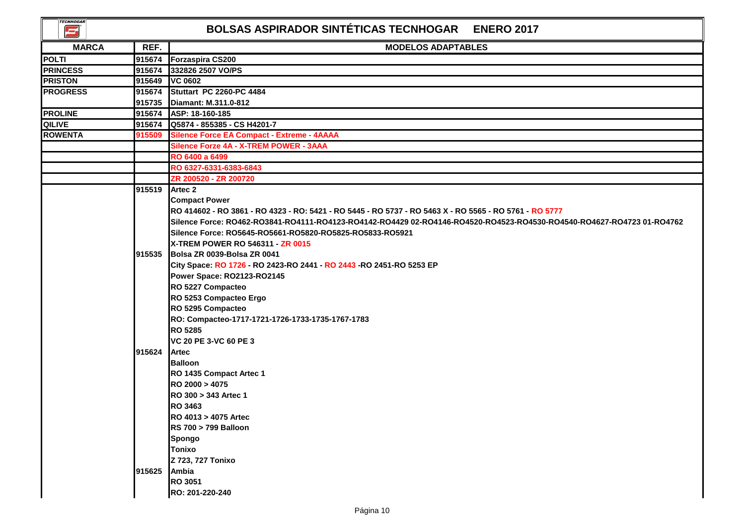| <b>TECNHOGAR</b><br>E. |                | BOLSAS ASPIRADOR SINTÉTICAS TECNHOGAR ENERO 2017                                                                      |
|------------------------|----------------|-----------------------------------------------------------------------------------------------------------------------|
| <b>MARCA</b>           | REF.           | <b>MODELOS ADAPTABLES</b>                                                                                             |
| <b>POLTI</b>           | 915674         | <b>Forzaspira CS200</b>                                                                                               |
| <b>PRINCESS</b>        | 915674         | 332826 2507 VO/PS                                                                                                     |
| <b>PRISTON</b>         |                | 915649 VC 0602                                                                                                        |
| <b>PROGRESS</b>        |                | 915674 Stuttart PC 2260-PC 4484                                                                                       |
|                        |                | 915735 Diamant: M.311.0-812                                                                                           |
| <b>PROLINE</b>         |                | 915674 ASP: 18-160-185                                                                                                |
| <b>QILIVE</b>          |                | 915674 Q5874 - 855385 - CS H4201-7                                                                                    |
| <b>ROWENTA</b>         | 915509         | Silence Force EA Compact - Extreme - 4AAAA                                                                            |
|                        |                | Silence Forze 4A - X-TREM POWER - 3AAA                                                                                |
|                        |                | RO 6400 a 6499                                                                                                        |
|                        |                | RO 6327-6331-6383-6843                                                                                                |
|                        |                | ZR 200520 - ZR 200720                                                                                                 |
|                        | 915519 Artec 2 |                                                                                                                       |
|                        |                | <b>Compact Power</b>                                                                                                  |
|                        |                | RO 414602 - RO 3861 - RO 4323 - RO: 5421 - RO 5445 - RO 5737 - RO 5463 X - RO 5565 - RO 5761 - RO 5777                |
|                        |                | Silence Force: RO462-RO3841-RO4111-RO4123-RO4142-RO4429 02-RO4146-RO4520-RO4523-RO4530-RO4540-RO4627-RO4723 01-RO4762 |
|                        |                | Silence Force: RO5645-RO5661-RO5820-RO5825-RO5833-RO5921                                                              |
|                        |                | <b>X-TREM POWER RO 546311 - ZR 0015</b>                                                                               |
|                        |                | 915535 Bolsa ZR 0039-Bolsa ZR 0041                                                                                    |
|                        |                | City Space: RO 1726 - RO 2423-RO 2441 - RO 2443 - RO 2451-RO 5253 EP                                                  |
|                        |                | Power Space: RO2123-RO2145                                                                                            |
|                        |                | RO 5227 Compacteo                                                                                                     |
|                        |                | RO 5253 Compacteo Ergo                                                                                                |
|                        |                | RO 5295 Compacteo                                                                                                     |
|                        |                | RO: Compacteo-1717-1721-1726-1733-1735-1767-1783                                                                      |
|                        |                | <b>RO 5285</b>                                                                                                        |
|                        |                | VC 20 PE 3-VC 60 PE 3                                                                                                 |
|                        | 915624         | Artec                                                                                                                 |
|                        |                | <b>Balloon</b>                                                                                                        |
|                        |                | RO 1435 Compact Artec 1<br>RO 2000 > 4075                                                                             |
|                        |                | RO 300 > 343 Artec 1                                                                                                  |
|                        |                | <b>RO 3463</b>                                                                                                        |
|                        |                | RO 4013 > 4075 Artec                                                                                                  |
|                        |                | <b>RS 700 &gt; 799 Balloon</b>                                                                                        |
|                        |                | Spongo                                                                                                                |
|                        |                | <b>Tonixo</b>                                                                                                         |
|                        |                | Z 723, 727 Tonixo                                                                                                     |
|                        | 915625 Ambia   |                                                                                                                       |
|                        |                | <b>RO 3051</b>                                                                                                        |
|                        |                | RO: 201-220-240                                                                                                       |
|                        |                |                                                                                                                       |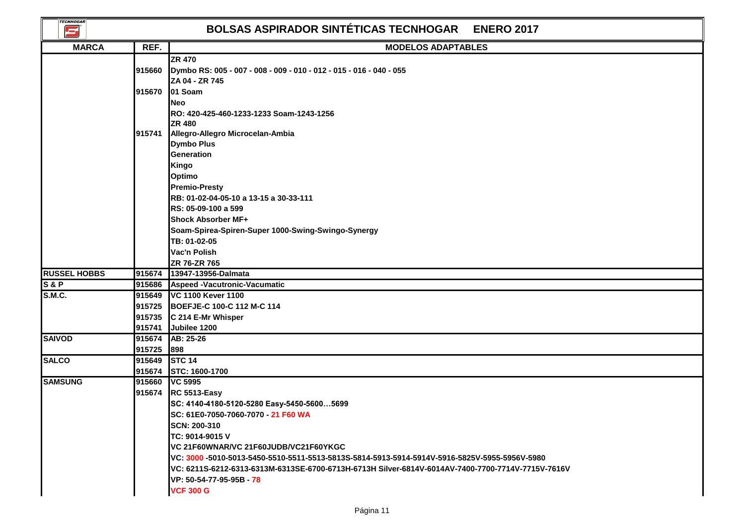| <b>TECNHOGAR</b><br>$\mathbf{\Xi}$ |        | <b>BOLSAS ASPIRADOR SINTÉTICAS TECNHOGAR</b><br><b>ENERO 2017</b>                                 |
|------------------------------------|--------|---------------------------------------------------------------------------------------------------|
| <b>MARCA</b>                       | REF.   | <b>MODELOS ADAPTABLES</b>                                                                         |
|                                    |        | <b>ZR 470</b>                                                                                     |
|                                    | 915660 | Dymbo RS: 005 - 007 - 008 - 009 - 010 - 012 - 015 - 016 - 040 - 055                               |
|                                    |        | ZA 04 - ZR 745                                                                                    |
|                                    | 915670 | 01 Soam                                                                                           |
|                                    |        | <b>Neo</b>                                                                                        |
|                                    |        | RO: 420-425-460-1233-1233 Soam-1243-1256                                                          |
|                                    |        | <b>ZR 480</b>                                                                                     |
|                                    | 915741 | Allegro-Allegro Microcelan-Ambia                                                                  |
|                                    |        | <b>Dymbo Plus</b>                                                                                 |
|                                    |        | Generation                                                                                        |
|                                    |        | Kingo                                                                                             |
|                                    |        | <b>Optimo</b>                                                                                     |
|                                    |        | <b>Premio-Presty</b>                                                                              |
|                                    |        | RB: 01-02-04-05-10 a 13-15 a 30-33-111                                                            |
|                                    |        | RS: 05-09-100 a 599                                                                               |
|                                    |        | <b>Shock Absorber MF+</b>                                                                         |
|                                    |        | Soam-Spirea-Spiren-Super 1000-Swing-Swingo-Synergy                                                |
|                                    |        | TB: 01-02-05                                                                                      |
|                                    |        | Vac'n Polish                                                                                      |
|                                    |        | ZR 76-ZR 765                                                                                      |
| <b>RUSSEL HOBBS</b>                | 915674 | 13947-13956-Dalmata                                                                               |
| <b>S&amp;P</b>                     | 915686 | Aspeed -Vacutronic-Vacumatic                                                                      |
| S.M.C.                             | 915649 | VC 1100 Kever 1100                                                                                |
|                                    |        | 915725 BOEFJE-C 100-C 112 M-C 114                                                                 |
|                                    |        | 915735 C 214 E-Mr Whisper                                                                         |
|                                    | 915741 | Jubilee 1200                                                                                      |
| <b>SAIVOD</b>                      | 915674 | AB: 25-26                                                                                         |
|                                    | 915725 | 898                                                                                               |
| <b>SALCO</b>                       | 915649 | STC 14                                                                                            |
|                                    |        | 915674 STC: 1600-1700                                                                             |
| <b>SAMSUNG</b>                     | 915660 | <b>VC 5995</b>                                                                                    |
|                                    |        | 915674 RC 5513-Easy                                                                               |
|                                    |        | SC: 4140-4180-5120-5280 Easy-5450-56005699                                                        |
|                                    |        | SC: 61E0-7050-7060-7070 - 21 F60 WA                                                               |
|                                    |        | SCN: 200-310                                                                                      |
|                                    |        | ITC: 9014-9015 V                                                                                  |
|                                    |        | VC 21F60WNAR/VC 21F60JUDB/VC21F60YKGC                                                             |
|                                    |        | VC: 3000 -5010-5013-5450-5510-5511-5513-5813S-5814-5913-5914-5914V-5916-5825V-5955-5956V-5980     |
|                                    |        | VC: 6211S-6212-6313-6313M-6313SE-6700-6713H-6713H Silver-6814V-6014AV-7400-7700-7714V-7715V-7616V |
|                                    |        | VP: 50-54-77-95-95B - 78                                                                          |
|                                    |        | <b>VCF 300 G</b>                                                                                  |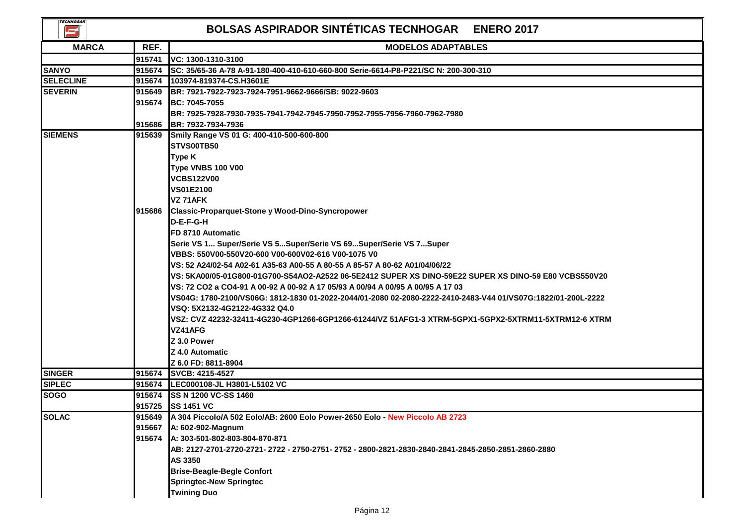| <b>TECNHOGAR</b><br>كا |        | BOLSAS ASPIRADOR SINTÉTICAS TECNHOGAR ENERO 2017                                                             |
|------------------------|--------|--------------------------------------------------------------------------------------------------------------|
| <b>MARCA</b>           | REF.   | <b>MODELOS ADAPTABLES</b>                                                                                    |
|                        | 915741 | VC: 1300-1310-3100                                                                                           |
| <b>SANYO</b>           | 915674 | SC: 35/65-36 A-78 A-91-180-400-410-610-660-800 Serie-6614-P8-P221/SC N: 200-300-310                          |
| <b>SELECLINE</b>       | 915674 | 103974-819374-CS.H3601E                                                                                      |
| <b>SEVERIN</b>         | 915649 | BR: 7921-7922-7923-7924-7951-9662-9666/SB: 9022-9603                                                         |
|                        | 915674 | <b>BC: 7045-7055</b>                                                                                         |
|                        |        | BR: 7925-7928-7930-7935-7941-7942-7945-7950-7952-7955-7956-7960-7962-7980                                    |
|                        | 915686 | BR: 7932-7934-7936                                                                                           |
| <b>SIEMENS</b>         | 915639 | Smily Range VS 01 G: 400-410-500-600-800                                                                     |
|                        |        | STVS00TB50                                                                                                   |
|                        |        | Type K                                                                                                       |
|                        |        | Type VNBS 100 V00                                                                                            |
|                        |        | <b>VCBS122V00</b>                                                                                            |
|                        |        | <b>VS01E2100</b>                                                                                             |
|                        |        | VZ 71AFK                                                                                                     |
|                        | 915686 | <b>Classic-Proparquet-Stone y Wood-Dino-Syncropower</b>                                                      |
|                        |        | D-E-F-G-H                                                                                                    |
|                        |        | FD 8710 Automatic                                                                                            |
|                        |        | Serie VS 1 Super/Serie VS 5Super/Serie VS 69Super/Serie VS 7Super                                            |
|                        |        | VBBS: 550V00-550V20-600 V00-600V02-616 V00-1075 V0                                                           |
|                        |        | VS: 52 A24/02-54 A02-61 A35-63 A00-55 A 80-55 A 85-57 A 80-62 A01/04/06/22                                   |
|                        |        | VS: 5KA00/05-01G800-01G700-S54AO2-A2522 06-5E2412 SUPER XS DINO-59E22 SUPER XS DINO-59 E80 VCBS550V20        |
|                        |        | VS: 72 CO2 a CO4-91 A 00-92 A 00-92 A 17 05/93 A 00/94 A 00/95 A 00/95 A 17 03                               |
|                        |        | VS04G: 1780-2100/VS06G: 1812-1830 01-2022-2044/01-2080 02-2080-2222-2410-2483-V44 01/VS07G:1822/01-200L-2222 |
|                        |        | VSQ: 5X2132-4G2122-4G332 Q4.0                                                                                |
|                        |        | VSZ: CVZ 42232-32411-4G230-4GP1266-6GP1266-61244/VZ 51AFG1-3 XTRM-5GPX1-5GPX2-5XTRM11-5XTRM12-6 XTRM         |
|                        |        | VZ41AFG                                                                                                      |
|                        |        | <b>Z 3.0 Power</b><br><b>Z 4.0 Automatic</b>                                                                 |
|                        |        | Z 6.0 FD: 8811-8904                                                                                          |
| <b>SINGER</b>          |        | 915674 SVCB: 4215-4527                                                                                       |
| <b>SIPLEC</b>          |        | 915674 LEC000108-JL H3801-L5102 VC                                                                           |
| <b>SOGO</b>            |        | 915674 SS N 1200 VC-SS 1460                                                                                  |
|                        |        | 915725 SS 1451 VC                                                                                            |
| <b>SOLAC</b>           | 915649 | A 304 Piccolo/A 502 Eolo/AB: 2600 Eolo Power-2650 Eolo - New Piccolo AB 2723                                 |
|                        | 915667 | A: 602-902-Magnum                                                                                            |
|                        | 915674 | A: 303-501-802-803-804-870-871                                                                               |
|                        |        | AB: 2127-2701-2720-2721- 2722 - 2750-2751- 2752 - 2800-2821-2830-2840-2841-2845-2850-2851-2860-2880          |
|                        |        | AS 3350                                                                                                      |
|                        |        | <b>Brise-Beagle-Begle Confort</b>                                                                            |
|                        |        | <b>Springtec-New Springtec</b>                                                                               |
|                        |        | <b>Twining Duo</b>                                                                                           |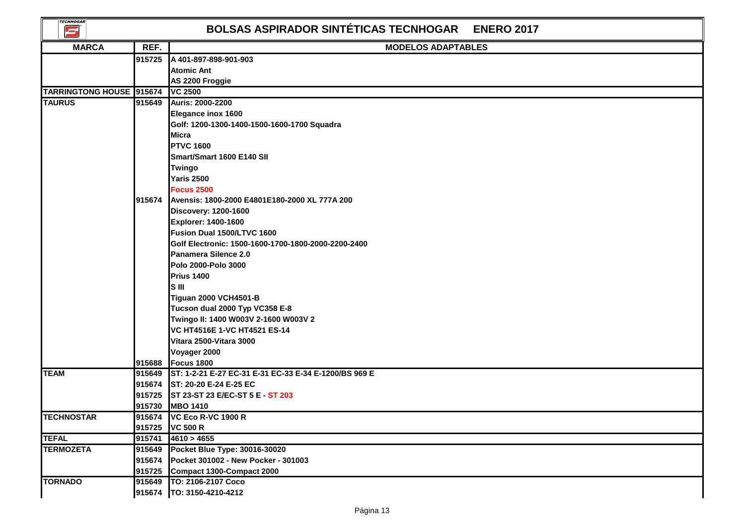| <b>TECNHOGAR</b><br><b>BOLSAS ASPIRADOR SINTÉTICAS TECNHOGAR</b><br><b>ENERO 2017</b><br>E, |        |                                                                             |  |  |  |
|---------------------------------------------------------------------------------------------|--------|-----------------------------------------------------------------------------|--|--|--|
| <b>MARCA</b>                                                                                | REF.   | <b>MODELOS ADAPTABLES</b>                                                   |  |  |  |
|                                                                                             | 915725 | A 401-897-898-901-903                                                       |  |  |  |
|                                                                                             |        | <b>Atomic Ant</b>                                                           |  |  |  |
|                                                                                             |        | AS 2200 Froggie                                                             |  |  |  |
| TARRINGTONG HOUSE 915674                                                                    |        | <b>VC 2500</b>                                                              |  |  |  |
| <b>TAURUS</b>                                                                               | 915649 | <b>Auris: 2000-2200</b>                                                     |  |  |  |
|                                                                                             |        | <b>Elegance inox 1600</b>                                                   |  |  |  |
|                                                                                             |        | Golf: 1200-1300-1400-1500-1600-1700 Squadra                                 |  |  |  |
|                                                                                             |        | <b>Micra</b>                                                                |  |  |  |
|                                                                                             |        | <b>PTVC 1600</b>                                                            |  |  |  |
|                                                                                             |        | Smart/Smart 1600 E140 SII                                                   |  |  |  |
|                                                                                             |        | Twingo                                                                      |  |  |  |
|                                                                                             |        | <b>Yaris 2500</b>                                                           |  |  |  |
|                                                                                             |        | <b>Focus 2500</b>                                                           |  |  |  |
|                                                                                             | 915674 | Avensis: 1800-2000 E4801E180-2000 XL 777A 200                               |  |  |  |
|                                                                                             |        | <b>Discovery: 1200-1600</b><br>Explorer: 1400-1600                          |  |  |  |
|                                                                                             |        | Fusion Dual 1500/LTVC 1600                                                  |  |  |  |
|                                                                                             |        | Golf Electronic: 1500-1600-1700-1800-2000-2200-2400                         |  |  |  |
|                                                                                             |        | Panamera Silence 2.0                                                        |  |  |  |
|                                                                                             |        | Polo 2000-Polo 3000                                                         |  |  |  |
|                                                                                             |        | <b>Prius 1400</b>                                                           |  |  |  |
|                                                                                             |        | <b>SIII</b>                                                                 |  |  |  |
|                                                                                             |        | <b>Tiguan 2000 VCH4501-B</b>                                                |  |  |  |
|                                                                                             |        | Tucson dual 2000 Typ VC358 E-8                                              |  |  |  |
|                                                                                             |        | Twingo II: 1400 W003V 2-1600 W003V 2                                        |  |  |  |
|                                                                                             |        | VC HT4516E 1-VC HT4521 ES-14                                                |  |  |  |
|                                                                                             |        | Vitara 2500-Vitara 3000                                                     |  |  |  |
|                                                                                             |        | Voyager 2000                                                                |  |  |  |
|                                                                                             | 915688 | <b>Focus 1800</b>                                                           |  |  |  |
| <b>TEAM</b>                                                                                 |        | 915649 ST: 1-2-21 E-27 EC-31 E-31 EC-33 E-34 E-1200/BS 969 E                |  |  |  |
|                                                                                             |        | 915674 ST: 20-20 E-24 E-25 EC                                               |  |  |  |
|                                                                                             | 915725 | ST 23-ST 23 E/EC-ST 5 E - ST 203                                            |  |  |  |
|                                                                                             |        | 915730 MBO 1410                                                             |  |  |  |
| <b>TECHNOSTAR</b>                                                                           |        | 915674 VC Eco R-VC 1900 R                                                   |  |  |  |
|                                                                                             |        | 915725 VC 500 R                                                             |  |  |  |
| <b>TEFAL</b>                                                                                | 915741 | 4610 > 4655                                                                 |  |  |  |
| <b>TERMOZETA</b>                                                                            | 915674 | 915649 Pocket Blue Type: 30016-30020<br>Pocket 301002 - New Pocker - 301003 |  |  |  |
|                                                                                             |        | 915725 Compact 1300-Compact 2000                                            |  |  |  |
| <b>TORNADO</b>                                                                              | 915649 | TO: 2106-2107 Coco                                                          |  |  |  |
|                                                                                             | 915674 | TO: 3150-4210-4212                                                          |  |  |  |
|                                                                                             |        |                                                                             |  |  |  |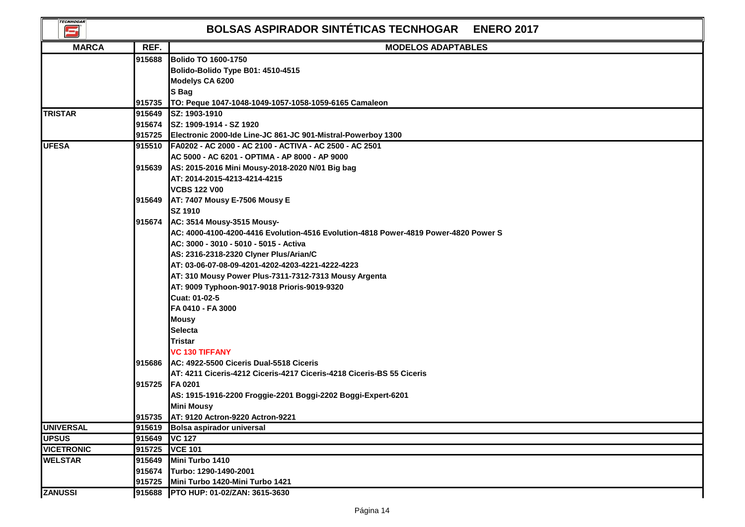| <b>TECNHOGAR</b><br>s |        | <b>BOLSAS ASPIRADOR SINTÉTICAS TECNHOGAR</b><br><b>ENERO 2017</b>                   |
|-----------------------|--------|-------------------------------------------------------------------------------------|
| <b>MARCA</b>          | REF.   | <b>MODELOS ADAPTABLES</b>                                                           |
|                       | 915688 | <b>Bolido TO 1600-1750</b>                                                          |
|                       |        | Bolido-Bolido Type B01: 4510-4515                                                   |
|                       |        | Modelys CA 6200                                                                     |
|                       |        | S Bag                                                                               |
|                       |        | 915735 TO: Peque 1047-1048-1049-1057-1058-1059-6165 Camaleon                        |
| <b>TRISTAR</b>        |        | 915649 SZ: 1903-1910                                                                |
|                       |        | 915674 SZ: 1909-1914 - SZ 1920                                                      |
|                       |        | 915725 Electronic 2000-Ide Line-JC 861-JC 901-Mistral-Powerboy 1300                 |
| <b>UFESA</b>          |        | 915510 FA0202 - AC 2000 - AC 2100 - ACTIVA - AC 2500 - AC 2501                      |
|                       |        | AC 5000 - AC 6201 - OPTIMA - AP 8000 - AP 9000                                      |
|                       |        | 915639 AS: 2015-2016 Mini Mousy-2018-2020 N/01 Big bag                              |
|                       |        | AT: 2014-2015-4213-4214-4215                                                        |
|                       |        | <b>VCBS 122 V00</b>                                                                 |
|                       |        | 915649 AT: 7407 Mousy E-7506 Mousy E                                                |
|                       |        | <b>SZ 1910</b>                                                                      |
|                       |        | 915674 AC: 3514 Mousy-3515 Mousy-                                                   |
|                       |        | AC: 4000-4100-4200-4416 Evolution-4516 Evolution-4818 Power-4819 Power-4820 Power S |
|                       |        | AC: 3000 - 3010 - 5010 - 5015 - Activa                                              |
|                       |        | AS: 2316-2318-2320 Clyner Plus/Arian/C                                              |
|                       |        | AT: 03-06-07-08-09-4201-4202-4203-4221-4222-4223                                    |
|                       |        | AT: 310 Mousy Power Plus-7311-7312-7313 Mousy Argenta                               |
|                       |        | AT: 9009 Typhoon-9017-9018 Prioris-9019-9320                                        |
|                       |        | Cuat: 01-02-5                                                                       |
|                       |        | FA 0410 - FA 3000                                                                   |
|                       |        | <b>Mousy</b>                                                                        |
|                       |        | <b>Selecta</b>                                                                      |
|                       |        | Tristar                                                                             |
|                       |        | <b>VC 130 TIFFANY</b>                                                               |
|                       |        | 915686 AC: 4922-5500 Ciceris Dual-5518 Ciceris                                      |
|                       |        | AT: 4211 Ciceris-4212 Ciceris-4217 Ciceris-4218 Ciceris-BS 55 Ciceris               |
|                       | 915725 | <b>FA 0201</b>                                                                      |
|                       |        | AS: 1915-1916-2200 Froggie-2201 Boggi-2202 Boggi-Expert-6201                        |
|                       |        | <b>Mini Mousy</b>                                                                   |
|                       |        | 915735 AT: 9120 Actron-9220 Actron-9221                                             |
| <b>UNIVERSAL</b>      | 915619 | <b>Bolsa aspirador universal</b>                                                    |
| <b>UPSUS</b>          | 915649 | <b>VC 127</b>                                                                       |
| <b>VICETRONIC</b>     | 915725 | <b>VCE 101</b>                                                                      |
| <b>WELSTAR</b>        | 915649 | Mini Turbo 1410                                                                     |
|                       | 915674 | Turbo: 1290-1490-2001                                                               |
|                       | 915725 | Mini Turbo 1420-Mini Turbo 1421                                                     |
| <b>ZANUSSI</b>        | 915688 | PTO HUP: 01-02/ZAN: 3615-3630                                                       |